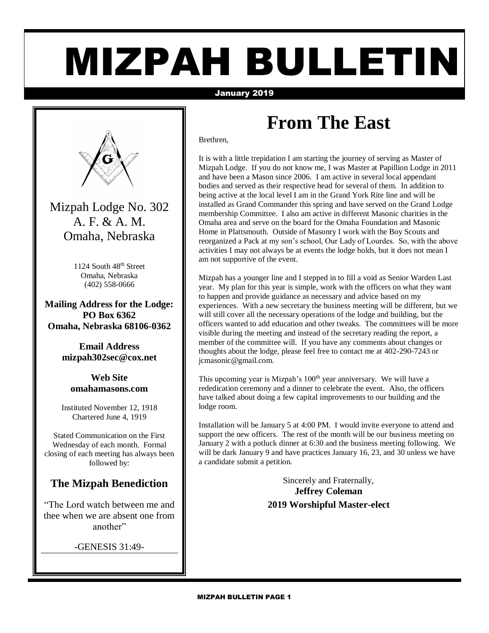# MIZPAH BULLETIN

### January 2019



Mizpah Lodge No. 302 A. F. & A. M. Omaha, Nebraska

> 1124 South 48th Street Omaha, Nebraska (402) 558-0666

**Mailing Address for the Lodge: PO Box 6362 Omaha, Nebraska 68106-0362**

> **Email Address mizpah302sec@cox.net**

**Web Site omahamasons.com**

Instituted November 12, 1918 Chartered June 4, 1919

Stated Communication on the First Wednesday of each month. Formal closing of each meeting has always been followed by:

### **The Mizpah Benediction**

"The Lord watch between me and thee when we are absent one from another"

-GENESIS 31:49-

### **From The East**

Brethren,

It is with a little trepidation I am starting the journey of serving as Master of Mizpah Lodge. If you do not know me, I was Master at Papillion Lodge in 2011 and have been a Mason since 2006. I am active in several local appendant bodies and served as their respective head for several of them. In addition to being active at the local level I am in the Grand York Rite line and will be installed as Grand Commander this spring and have served on the Grand Lodge membership Committee. I also am active in different Masonic charities in the Omaha area and serve on the board for the Omaha Foundation and Masonic Home in Plattsmouth. Outside of Masonry I work with the Boy Scouts and reorganized a Pack at my son's school, Our Lady of Lourdes. So, with the above activities I may not always be at events the lodge holds, but it does not mean I am not supportive of the event.

Mizpah has a younger line and I stepped in to fill a void as Senior Warden Last year. My plan for this year is simple, work with the officers on what they want to happen and provide guidance as necessary and advice based on my experiences. With a new secretary the business meeting will be different, but we will still cover all the necessary operations of the lodge and building, but the officers wanted to add education and other tweaks. The committees will be more visible during the meeting and instead of the secretary reading the report, a member of the committee will. If you have any comments about changes or thoughts about the lodge, please feel free to contact me at 402-290-7243 or jcmasonic@gmail.com.

This upcoming year is Mizpah's  $100<sup>th</sup>$  year anniversary. We will have a rededication ceremony and a dinner to celebrate the event. Also, the officers have talked about doing a few capital improvements to our building and the lodge room.

Installation will be January 5 at 4:00 PM. I would invite everyone to attend and support the new officers. The rest of the month will be our business meeting on January 2 with a potluck dinner at 6:30 and the business meeting following. We will be dark January 9 and have practices January 16, 23, and 30 unless we have a candidate submit a petition.

> Sincerely and Fraternally, **Jeffrey Coleman 2019 Worshipful Master-elect**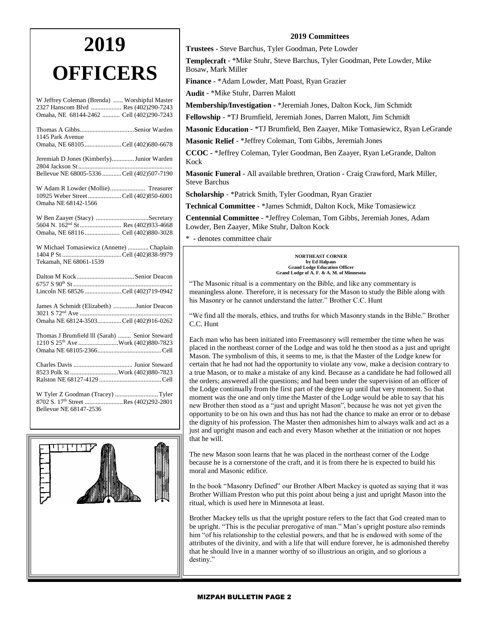### **2019 OFFICERS**

| W Jeffrey Coleman (Brenda)  Worshipful Master                                                     |  |
|---------------------------------------------------------------------------------------------------|--|
| 2327 Hanscom Blvd  Res (402)290-7243                                                              |  |
| Omaha, NE 68144-2462  Cell (402)290-7243                                                          |  |
| 1145 Park Avenue                                                                                  |  |
| Omaha, NE 68105 Cell (402)680-6678                                                                |  |
| Jeremiah D Jones (Kimberly) Junior Warden                                                         |  |
| Bellevue NE 68005-5336 Cell (402)507-7190                                                         |  |
| W Adam R Lowder (Mollie) Treasurer<br>10925 Weber StreetCell (402)850-6001<br>Omaha NE 68142-1566 |  |
|                                                                                                   |  |
| W Ben Zaayer (Stacy) Secretary                                                                    |  |
| 5604 N. 162 <sup>nd</sup> St Res (402)933-4668                                                    |  |
| Omaha, NE 68116 Cell (402)880-3028                                                                |  |
| W Michael Tomasiewicz (Annette)  Chaplain                                                         |  |
| Tekamah, NE 68061-1539                                                                            |  |
|                                                                                                   |  |
|                                                                                                   |  |
| Lincoln NE 68526 Cell (402)719-0942                                                               |  |
| James A Schmidt (Elizabeth) Junior Deacon                                                         |  |
| Omaha NE 68124-3503Cell (402)916-0262                                                             |  |
| Thomas J Brumfield III (Sarah)  Senior Steward                                                    |  |
| 1210 S 25 <sup>th</sup> Ave Work (402)880-7823                                                    |  |
|                                                                                                   |  |
|                                                                                                   |  |
| 8523 Polk St Work (402)880-7823                                                                   |  |
|                                                                                                   |  |
|                                                                                                   |  |
| 8702 S. 17 <sup>th</sup> Street Res (402)292-2801                                                 |  |
| Bellevue NE 68147-2536                                                                            |  |



#### **2019 Committees**

**Trustees** - Steve Barchus, Tyler Goodman, Pete Lowder

**Templecraft** - \*Mike Stuhr, Steve Barchus, Tyler Goodman, Pete Lowder, Mike Bosaw, Mark Miller

**Finance** - \*Adam Lowder, Matt Poast, Ryan Grazier

**Audit** - \*Mike Stuhr, Darren Malott

**Membership/Investigation** - \*Jeremiah Jones, Dalton Kock, Jim Schmidt

**Fellowship** - \*TJ Brumfield, Jeremiah Jones, Darren Malott, Jim Schmidt

**Masonic Education** - \*TJ Brumfield, Ben Zaayer, Mike Tomasiewicz, Ryan LeGrande

**Masonic Relief** - \*Jeffrey Coleman, Tom Gibbs, Jeremiah Jones

**CCOC** - \*Jeffrey Coleman, Tyler Goodman, Ben Zaayer, Ryan LeGrande, Dalton Kock

**Masonic Funeral** - All available brethren, Oration - Craig Crawford, Mark Miller, Steve Barchus

**Scholarship** - \*Patrick Smith, Tyler Goodman, Ryan Grazier

**Technical Committee** - \*James Schmidt, Dalton Kock, Mike Tomasiewicz

**Centennial Committee** - \*Jeffrey Coleman, Tom Gibbs, Jeremiah Jones, Adam Lowder, Ben Zaayer, Mike Stuhr, Dalton Kock

\* - denotes committee chair

**NORTHEAST CORNER by Ed Halpaus Grand Lodge Education Officer Grand Lodge of A. F. & A. M. of Minnesota**

"The Masonic ritual is a commentary on the Bible, and like any commentary is meaningless alone. Therefore, it is necessary for the Mason to study the Bible along with his Masonry or he cannot understand the latter." Brother C.C. Hunt

"We find all the morals, ethics, and truths for which Masonry stands in the Bible." Brother C.C. Hunt

Each man who has been initiated into Freemasonry will remember the time when he was placed in the northeast corner of the Lodge and was told he then stood as a just and upright Mason. The symbolism of this, it seems to me, is that the Master of the Lodge knew for certain that he had not had the opportunity to violate any vow, make a decision contrary to a true Mason, or to make a mistake of any kind. Because as a candidate he had followed all the orders; answered all the questions; and had been under the supervision of an officer of the Lodge continually from the first part of the degree up until that very moment. So that moment was the one and only time the Master of the Lodge would be able to say that his new Brother then stood as a "just and upright Mason", because he was not yet given the opportunity to be on his own and thus has not had the chance to make an error or to debase the dignity of his profession. The Master then admonishes him to always walk and act as a just and upright mason and each and every Mason whether at the initiation or not hopes that he will.

The new Mason soon learns that he was placed in the northeast corner of the Lodge because he is a cornerstone of the craft, and it is from there he is expected to build his moral and Masonic edifice.

In the book "Masonry Defined" our Brother Albert Mackey is quoted as saying that it was Brother William Preston who put this point about being a just and upright Mason into the ritual, which is used here in Minnesota at least.

Brother Mackey tells us that the upright posture refers to the fact that God created man to be upright. "This is the peculiar prerogative of man." Man's upright posture also reminds him "of his relationship to the celestial powers, and that he is endowed with some of the attributes of the divinity, and with a life that will endure forever, he is admonished thereby that he should live in a manner worthy of so illustrious an origin, and so glorious a destiny."

#### MIZPAH BULLETIN PAGE 2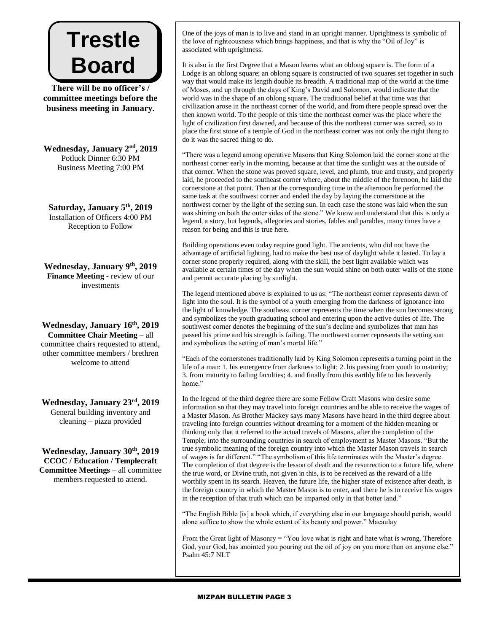## **Trestle Board**

**There will be no officer's / committee meetings before the business meeting in January.**

**Wednesday, January 2nd , 2019** Potluck Dinner 6:30 PM Business Meeting 7:00 PM

**Saturday, January 5 th , 2019** Installation of Officers 4:00 PM Reception to Follow

**Wednesday, January 9 th , 2019 Finance Meeting** - review of our investments

**Wednesday, January 16 th , 2019 Committee Chair Meeting** – all committee chairs requested to attend, other committee members / brethren welcome to attend

**Wednesday, January 23rd , 2019** General building inventory and cleaning – pizza provided

**Wednesday, January 30th, 2019 CCOC / Education / Templecraft Committee Meetings** – all committee members requested to attend.

One of the joys of man is to live and stand in an upright manner. Uprightness is symbolic of the love of righteousness which brings happiness, and that is why the "Oil of Joy" is associated with uprightness.

It is also in the first Degree that a Mason learns what an oblong square is. The form of a Lodge is an oblong square; an oblong square is constructed of two squares set together in such way that would make its length double its breadth. A traditional map of the world at the time of Moses, and up through the days of King's David and Solomon, would indicate that the world was in the shape of an oblong square. The traditional belief at that time was that civilization arose in the northeast corner of the world, and from there people spread over the then known world. To the people of this time the northeast corner was the place where the light of civilization first dawned, and because of this the northeast corner was sacred, so to place the first stone of a temple of God in the northeast corner was not only the right thing to do it was the sacred thing to do.

"There was a legend among operative Masons that King Solomon laid the corner stone at the northeast corner early in the morning, because at that time the sunlight was at the outside of that corner. When the stone was proved square, level, and plumb, true and trusty, and properly laid, he proceeded to the southeast corner where, about the middle of the forenoon, he laid the cornerstone at that point. Then at the corresponding time in the afternoon he performed the same task at the southwest corner and ended the day by laying the cornerstone at the northwest corner by the light of the setting sun. In each case the stone was laid when the sun was shining on both the outer sides of the stone." We know and understand that this is only a legend, a story, but legends, allegories and stories, fables and parables, many times have a reason for being and this is true here.

Building operations even today require good light. The ancients, who did not have the advantage of artificial lighting, had to make the best use of daylight while it lasted. To lay a corner stone properly required, along with the skill, the best light available which was available at certain times of the day when the sun would shine on both outer walls of the stone and permit accurate placing by sunlight.

The legend mentioned above is explained to us as: "The northeast corner represents dawn of light into the soul. It is the symbol of a youth emerging from the darkness of ignorance into the light of knowledge. The southeast corner represents the time when the sun becomes strong and symbolizes the youth graduating school and entering upon the active duties of life. The southwest corner denotes the beginning of the sun's decline and symbolizes that man has passed his prime and his strength is failing. The northwest corner represents the setting sun and symbolizes the setting of man's mortal life."

"Each of the cornerstones traditionally laid by King Solomon represents a turning point in the life of a man: 1. his emergence from darkness to light; 2. his passing from youth to maturity; 3. from maturity to failing faculties; 4. and finally from this earthly life to his heavenly home."

In the legend of the third degree there are some Fellow Craft Masons who desire some information so that they may travel into foreign countries and be able to receive the wages of a Master Mason. As Brother Mackey says many Masons have heard in the third degree about traveling into foreign countries without dreaming for a moment of the hidden meaning or thinking only that it referred to the actual travels of Masons, after the completion of the Temple, into the surrounding countries in search of employment as Master Masons. "But the true symbolic meaning of the foreign country into which the Master Mason travels in search of wages is far different." "The symbolism of this life terminates with the Master's degree. The completion of that degree is the lesson of death and the resurrection to a future life, where the true word, or Divine truth, not given in this, is to be received as the reward of a life worthily spent in its search. Heaven, the future life, the higher state of existence after death, is the foreign country in which the Master Mason is to enter, and there he is to receive his wages in the reception of that truth which can be imparted only in that better land."

"The English Bible [is] a book which, if everything else in our language should perish, would alone suffice to show the whole extent of its beauty and power." Macaulay

From the Great light of Masonry = "You love what is right and hate what is wrong. Therefore God, your God, has anointed you pouring out the oil of joy on you more than on anyone else." Psalm 45:7 NLT